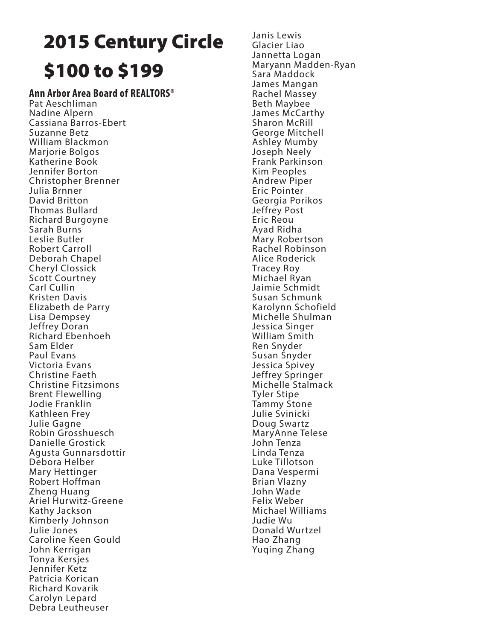# 2015 Century Circle \$100 to \$199

## **Ann Arbor Area Board of REALTORS®**

Pat Aeschliman Nadine Alpern Cassiana Barros-Ebert Suzanne Betz William Blackmon Marjorie Bolgos Katherine Book Jennifer Borton Christopher Brenner Julia Brnner David Britton Thomas Bullard Richard Burgoyne Sarah Burns Leslie Butler Robert Carroll Deborah Chapel Cheryl Clossick Scott Courtney Carl Cullin Kristen Davis Elizabeth de Parry Lisa Dempsey Jeffrey Doran Richard Ebenhoeh Sam Elder Paul Evans Victoria Evans Christine Faeth Christine Fitzsimons Brent Flewelling Jodie Franklin Kathleen Frey Julie Gagne Robin Grosshuesch Danielle Grostick Agusta Gunnarsdottir Debora Helber Mary Hettinger Robert Hoffman Zheng Huang Ariel Hurwitz-Greene Kathy Jackson Kimberly Johnson Julie Jones Caroline Keen Gould John Kerrigan Tonya Kersjes Jennifer Ketz Patricia Korican Richard Kovarik Carolyn Lepard Debra Leutheuser

Janis Lewis Glacier Liao Jannetta Logan Maryann Madden-Ryan Sara Maddock James Mangan Rachel Massey Beth Maybee James McCarthy Sharon McRill George Mitchell Ashley Mumby Joseph Neely Frank Parkinson Kim Peoples Andrew Piper Eric Pointer Georgia Porikos Jeffrey Post Eric Reou Ayad Ridha Mary Robertson Rachel Robinson Alice Roderick Tracey Roy Michael Ryan Jaimie Schmidt Susan Schmunk Karolynn Schofield Michelle Shulman Jessica Singer William Smith Ren Snyder Susan Snyder Jessica Spivey Jeffrey Springer Michelle Stalmack Tyler Stipe Tammy Stone Julie Svinicki Doug Swartz MaryAnne Telese John Tenza Linda Tenza Luke Tillotson Dana Vespermi Brian Vlazny John Wade Felix Weber Michael Williams Judie Wu Donald Wurtzel Hao Zhang Yuqing Zhang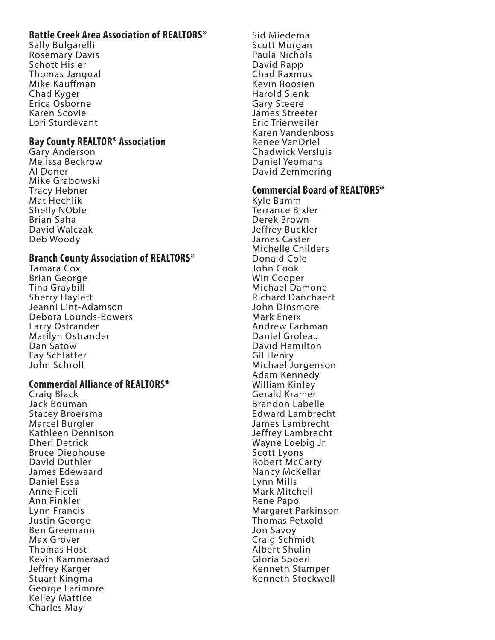## **Battle Creek Area Association of REALTORS®**

Sally Bulgarelli Rosemary Davis Schott Hisler Thomas Jangual Mike Kauffman Chad Kyger Erica Osborne Karen Scovie Lori Sturdevant

#### **Bay County REALTOR® Association**

Gary Anderson Melissa Beckrow Al Doner Mike Grabowski Tracy Hebner Mat Hechlik Shelly NOble Brian Saha David Walczak Deb Woody

#### **Branch County Association of REALTORS®**

Tamara Cox Brian George Tina Graybill Sherry Haylett Jeanni Lint-Adamson Debora Lounds-Bowers Larry Ostrander Marilyn Ostrander Dan Satow Fay Schlatter John Schroll

## **Commercial Alliance of REALTORS®**

Craig Black Jack Bouman Stacey Broersma Marcel Burgler Kathleen Dennison Dheri Detrick Bruce Diephouse David Duthler James Edewaard Daniel Essa Anne Ficeli Ann Finkler Lynn Francis Justin George Ben Greemann Max Grover Thomas Host Kevin Kammeraad Jeffrey Karger Stuart Kingma George Larimore Kelley Mattice Charles May

Sid Miedema Scott Morgan Paula Nichols David Rapp Chad Raxmus Kevin Roosien Harold Slenk Gary Steere James Streeter Eric Trierweiler Karen Vandenboss Renee VanDriel Chadwick Versluis Daniel Yeomans David Zemmering

#### **Commercial Board of REALTORS®**

Kyle Bamm Terrance Bixler Derek Brown Jeffrey Buckler James Caster Michelle Childers Donald Cole John Cook Win Cooper Michael Damone Richard Danchaert John Dinsmore Mark Eneix Andrew Farbman Daniel Groleau David Hamilton Gil Henry Michael Jurgenson Adam Kennedy William Kinley Gerald Kramer Brandon Labelle Edward Lambrecht James Lambrecht Jeffrey Lambrecht Wayne Loebig Jr. Scott Lyons Robert McCarty Nancy McKellar Lynn Mills Mark Mitchell Rene Papo Margaret Parkinson Thomas Petxold Jon Savoy Craig Schmidt Albert Shulin Gloria Spoerl Kenneth Stamper Kenneth Stockwell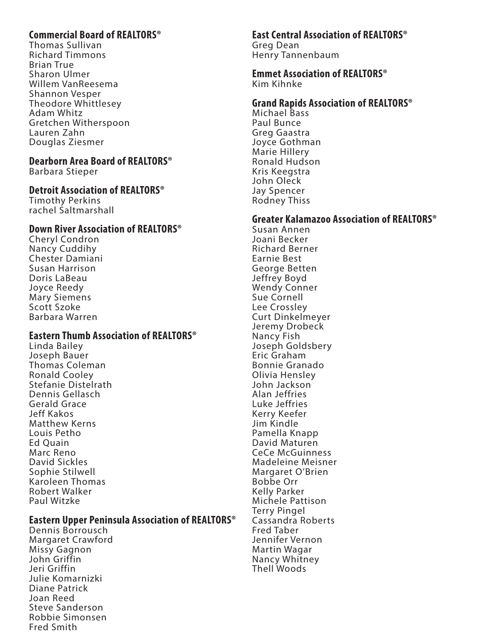## **Commercial Board of REALTORS®**

Thomas Sullivan Richard Timmons Brian True Sharon Ulmer Willem VanReesema Shannon Vesper Theodore Whittlesey Adam Whitz Gretchen Witherspoon Lauren Zahn Douglas Ziesmer

#### **Dearborn Area Board of REALTORS®**

Barbara Stieper

#### **Detroit Association of REALTORS®**

Timothy Perkins rachel Saltmarshall

## **Down River Association of REALTORS®**

Cheryl Condron Nancy Cuddihy Chester Damiani Susan Harrison Doris LaBeau Joyce Reedy Mary Siemens Scott Szoke Barbara Warren

## **Eastern Thumb Association of REALTORS®**

Linda Bailey Joseph Bauer Thomas Coleman Ronald Cooley Stefanie Distelrath Dennis Gellasch Gerald Grace Jeff Kakos Matthew Kerns Louis Petho Ed Quain Marc Reno David Sickles Sophie Stilwell Karoleen Thomas Robert Walker Paul Witzke

#### **Eastern Upper Peninsula Association of REALTORS®**

Dennis Borrousch Margaret Crawford Missy Gagnon John Griffin Jeri Griffin Julie Komarnizki Diane Patrick Joan Reed Steve Sanderson Robbie Simonsen Fred Smith

#### **East Central Association of REALTORS®**

Greg Dean Henry Tannenbaum

#### **Emmet Association of REALTORS®** Kim Kihnke

## **Grand Rapids Association of REALTORS®**

Michael Bass Paul Bunce Greg Gaastra Joyce Gothman Marie Hillery Ronald Hudson Kris Keegstra John Oleck Jay Spencer Rodney Thiss

#### **Greater Kalamazoo Association of REALTORS®**

Susan Annen Joani Becker Richard Berner Earnie Best George Betten Jeffrey Boyd Wendy Conner Sue Cornell Lee Crossley Curt Dinkelmeyer Jeremy Drobeck Nancy Fish Joseph Goldsbery Eric Graham Bonnie Granado Olivia Hensley John Jackson Alan Jeffries Luke Jeffries Kerry Keefer Jim Kindle Pamella Knapp David Maturen CeCe McGuinness Madeleine Meisner Margaret O'Brien Bobbe Orr Kelly Parker Michele Pattison Terry Pingel Cassandra Roberts Fred Taber Jennifer Vernon Martin Wagar Nancy Whitney Thell Woods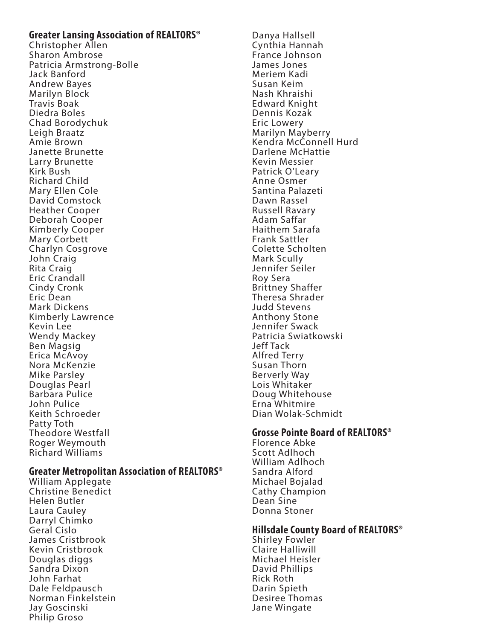#### **Greater Lansing Association of REALTORS®**

Christopher Allen Sharon Ambrose Patricia Armstrong-Bolle Jack Banford Andrew Bayes Marilyn Block Travis Boak Diedra Boles Chad Borodychuk Leigh Braatz Amie Brown Janette Brunette Larry Brunette Kirk Bush Richard Child Mary Ellen Cole David Comstock Heather Cooper Deborah Cooper Kimberly Cooper Mary Corbett Charlyn Cosgrove John Craig Rita Craig Eric Crandall Cindy Cronk Eric Dean Mark Dickens Kimberly Lawrence Kevin Lee Wendy Mackey Ben Magsig Erica McAvoy Nora McKenzie Mike Parsley Douglas Pearl Barbara Pulice John Pulice Keith Schroeder Patty Toth Theodore Westfall Roger Weymouth Richard Williams

#### **Greater Metropolitan Association of REALTORS®**

William Applegate Christine Benedict Helen Butler Laura Cauley Darryl Chimko Geral Cislo James Cristbrook Kevin Cristbrook Douglas diggs Sandra Dixon John Farhat Dale Feldpausch Norman Finkelstein Jay Goscinski Philip Groso

Danya Hallsell Cynthia Hannah France Johnson James Jones Meriem Kadi Susan Keim Nash Khraishi Edward Knight Dennis Kozak Eric Lowery Marilyn Mayberry Kendra McConnell Hurd Darlene McHattie Kevin Messier Patrick O'Leary Anne Osmer Santina Palazeti Dawn Rassel Russell Ravary Adam Saffar Haithem Sarafa Frank Sattler Colette Scholten Mark Scully Jennifer Seiler Roy Sera Brittney Shaffer Theresa Shrader Judd Stevens Anthony Stone Jennifer Swack Patricia Swiatkowski Jeff Tack Alfred Terry Susan Thorn Berverly Way Lois Whitaker Doug Whitehouse Erna Whitmire Dian Wolak-Schmidt

#### **Grosse Pointe Board of REALTORS®**

Florence Abke Scott Adlhoch William Adlhoch Sandra Alford Michael Bojalad Cathy Champion Dean Sine Donna Stoner

#### **Hillsdale County Board of REALTORS®**

Shirley Fowler Claire Halliwill Michael Heisler David Phillips Rick Roth Darin Spieth Desiree Thomas Jane Wingate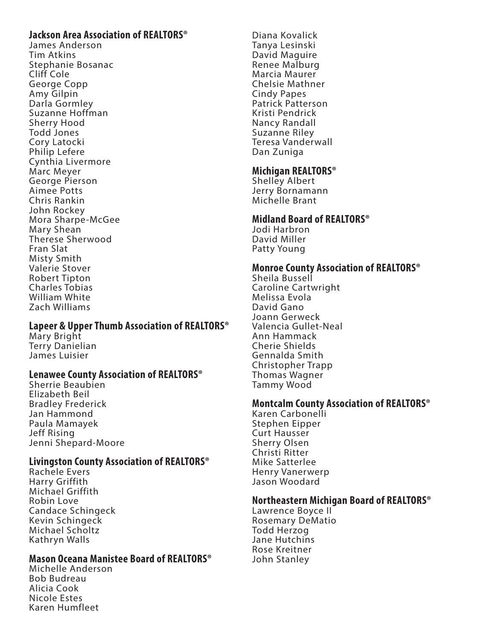## **Jackson Area Association of REALTORS®**

James Anderson Tim Atkins Stephanie Bosanac Cliff Cole George Copp Amy Gilpin Darla Gormley Suzanne Hoffman Sherry Hood Todd Jones Cory Latocki Philip Lefere Cynthia Livermore Marc Meyer George Pierson Aimee Potts Chris Rankin John Rockey Mora Sharpe-McGee Mary Shean Therese Sherwood Fran Slat Misty Smith Valerie Stover Robert Tipton Charles Tobias William White Zach Williams

## **Lapeer & Upper Thumb Association of REALTORS®**

Mary Bright Terry Danielian James Luisier

#### **Lenawee County Association of REALTORS®**

Sherrie Beaubien Elizabeth Beil Bradley Frederick Jan Hammond Paula Mamayek Jeff Rising Jenni Shepard-Moore

#### **Livingston County Association of REALTORS®**

Rachele Evers Harry Griffith Michael Griffith Robin Love Candace Schingeck Kevin Schingeck Michael Scholtz Kathryn Walls

#### **Mason Oceana Manistee Board of REALTORS®**

Michelle Anderson Bob Budreau Alicia Cook Nicole Estes Karen Humfleet

Diana Kovalick Tanya Lesinski David Maguire Renee Malburg Marcia Maurer Chelsie Mathner Cindy Papes Patrick Patterson Kristi Pendrick Nancy Randall Suzanne Riley Teresa Vanderwall Dan Zuniga

## **Michigan REALTORS®**

Shelley Albert Jerry Bornamann Michelle Brant

## **Midland Board of REALTORS®**

Jodi Harbron David Miller Patty Young

## **Monroe County Association of REALTORS®**

Sheila Bussell Caroline Cartwright Melissa Evola David Gano Joann Gerweck Valencia Gullet-Neal Ann Hammack Cherie Shields Gennalda Smith Christopher Trapp Thomas Wagner Tammy Wood

## **Montcalm County Association of REALTORS®**

Karen Carbonelli Stephen Eipper Curt Hausser Sherry Olsen Christi Ritter Mike Satterlee Henry Vanerwerp Jason Woodard

#### **Northeastern Michigan Board of REALTORS®**

Lawrence Boyce II Rosemary DeMatio Todd Herzog Jane Hutchins Rose Kreitner John Stanley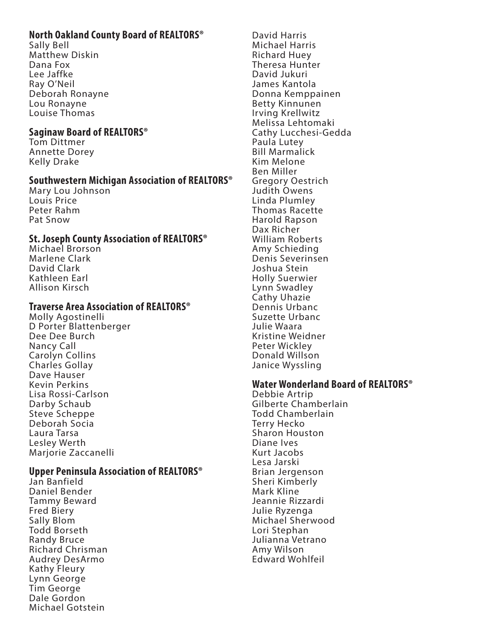# **North Oakland County Board of REALTORS®**

Sally Bell Matthew Diskin Dana Fox Lee Jaffke Ray O'Neil Deborah Ronayne Lou Ronayne Louise Thomas

#### **Saginaw Board of REALTORS®**

Tom Dittmer Annette Dorey Kelly Drake

## **Southwestern Michigan Association of REALTORS®**

Mary Lou Johnson Louis Price Peter Rahm Pat Snow

## **St. Joseph County Association of REALTORS®**

Michael Brorson Marlene Clark David Clark Kathleen Earl Allison Kirsch

## **Traverse Area Association of REALTORS®**

Molly Agostinelli D Porter Blattenberger Dee Dee Burch Nancy Call Carolyn Collins Charles Gollay Dave Hauser Kevin Perkins Lisa Rossi-Carlson Darby Schaub Steve Scheppe Deborah Socia Laura Tarsa Lesley Werth Marjorie Zaccanelli

#### **Upper Peninsula Association of REALTORS®**

Jan Banfield Daniel Bender Tammy Beward Fred Biery Sally Blom Todd Borseth Randy Bruce Richard Chrisman Audrey DesArmo Kathy Fleury Lynn George Tim George Dale Gordon Michael Gotstein

David Harris Michael Harris Richard Huey Theresa Hunter David Jukuri James Kantola Donna Kemppainen Betty Kinnunen Irving Krellwitz Melissa Lehtomaki Cathy Lucchesi-Gedda Paula Lutey Bill Marmalick Kim Melone Ben Miller Gregory Oestrich Judith Owens Linda Plumley Thomas Racette Harold Rapson Dax Richer William Roberts Amy Schieding Denis Severinsen Joshua Stein Holly Suerwier Lynn Swadley Cathy Uhazie Dennis Urbanc Suzette Urbanc Julie Waara Kristine Weidner Peter Wickley Donald Willson Janice Wyssling

## **Water Wonderland Board of REALTORS®**

Debbie Artrip Gilberte Chamberlain Todd Chamberlain Terry Hecko Sharon Houston Diane Ives Kurt Jacobs Lesa Jarski Brian Jergenson Sheri Kimberly Mark Kline Jeannie Rizzardi Julie Ryzenga Michael Sherwood Lori Stephan Julianna Vetrano Amy Wilson Edward Wohlfeil